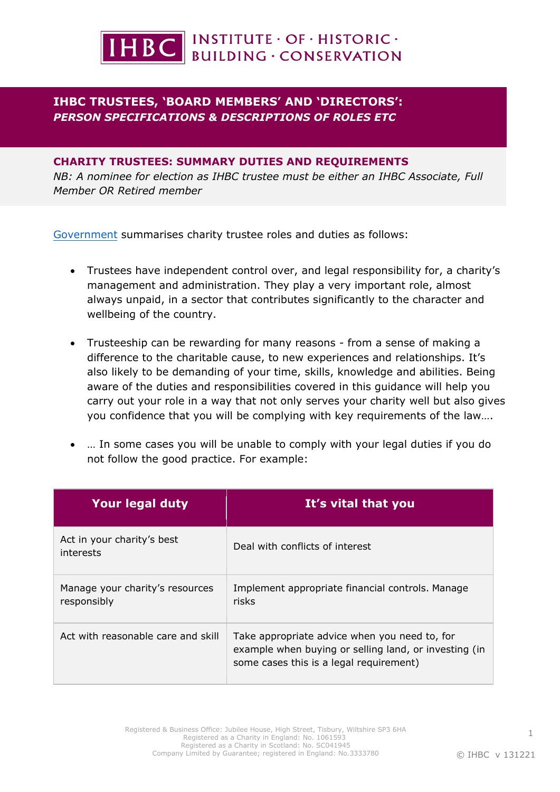

# **IHBC TRUSTEES, 'BOARD MEMBERS' AND 'DIRECTORS':**  *PERSON SPECIFICATIONS & DESCRIPTIONS OF ROLES ETC*

## **CHARITY TRUSTEES: SUMMARY DUTIES AND REQUIREMENTS**

*NB: A nominee for election as IHBC trustee must be either an IHBC Associate, Full Member OR Retired member* 

Government summarises charity trustee roles and duties as follows:

- Trustees have independent control over, and legal responsibility for, a charity's management and administration. They play a very important role, almost always unpaid, in a sector that contributes significantly to the character and wellbeing of the country.
- Trusteeship can be rewarding for many reasons from a sense of making a difference to the charitable cause, to new experiences and relationships. It's also likely to be demanding of your time, skills, knowledge and abilities. Being aware of the duties and responsibilities covered in this guidance will help you carry out your role in a way that not only serves your charity well but also gives you confidence that you will be complying with key requirements of the law….
- … In some cases you will be unable to comply with your legal duties if you do not follow the good practice. For example:

| Your legal duty                                | It's vital that you                                                                                                                               |
|------------------------------------------------|---------------------------------------------------------------------------------------------------------------------------------------------------|
| Act in your charity's best<br>interests        | Deal with conflicts of interest                                                                                                                   |
| Manage your charity's resources<br>responsibly | Implement appropriate financial controls. Manage<br>risks                                                                                         |
| Act with reasonable care and skill             | Take appropriate advice when you need to, for<br>example when buying or selling land, or investing (in<br>some cases this is a legal requirement) |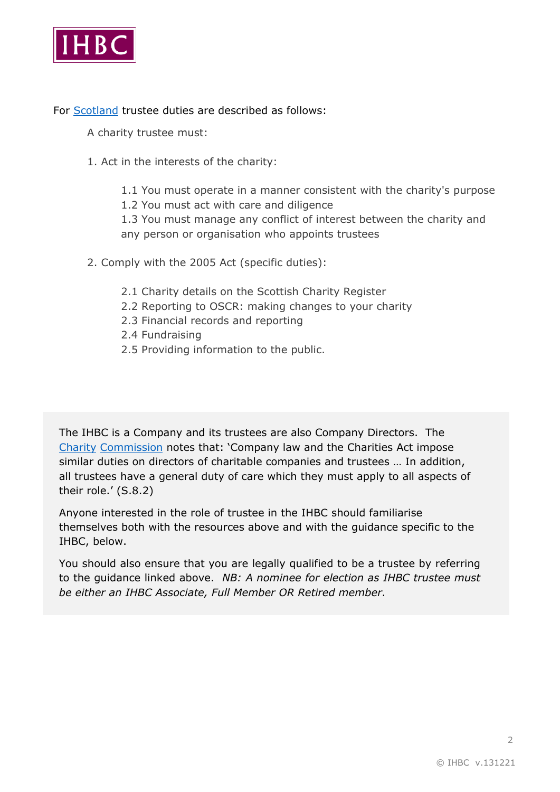

For [Scotland](https://www.oscr.org.uk/managing-a-charity/trustee-duties/) trustee duties are described as follows:

A charity trustee must:

- 1. Act in the interests of the charity:
	- 1.1 You must operate in a manner consistent with the charity's purpose
	- 1.2 You must act with care and diligence

1.3 You must manage any conflict of interest between the charity and any person or organisation who appoints trustees

- 2. Comply with the 2005 Act (specific duties):
	- 2.1 Charity details on the Scottish Charity Register
	- 2.2 Reporting to OSCR: making changes to your charity
	- 2.3 Financial records and reporting
	- 2.4 Fundraising
	- 2.5 Providing information to the public.

The IHBC is a Company and its trustees are also Company Directors. Th[e](https://assets.publishing.service.gov.uk/government/uploads/system/uploads/attachment_data/file/866947/CC3_feb20.pdf)  [Charity](https://assets.publishing.service.gov.uk/government/uploads/system/uploads/attachment_data/file/866947/CC3_feb20.pdf) Commission notes that: 'Company law and the Charities Act impose similar duties on directors of charitable companies and trustees … In addition, all trustees have a general duty of care which they must apply to all aspects of their role.' (S.8.2)

Anyone interested in the role of trustee in the IHBC should familiarise themselves both with the resources above and with the guidance specific to the IHBC, below.

You should also ensure that you are legally qualified to be a trustee by referring to the guidance linked above. *NB: A nominee for election as IHBC trustee must be either an IHBC Associate, Full Member OR Retired member*.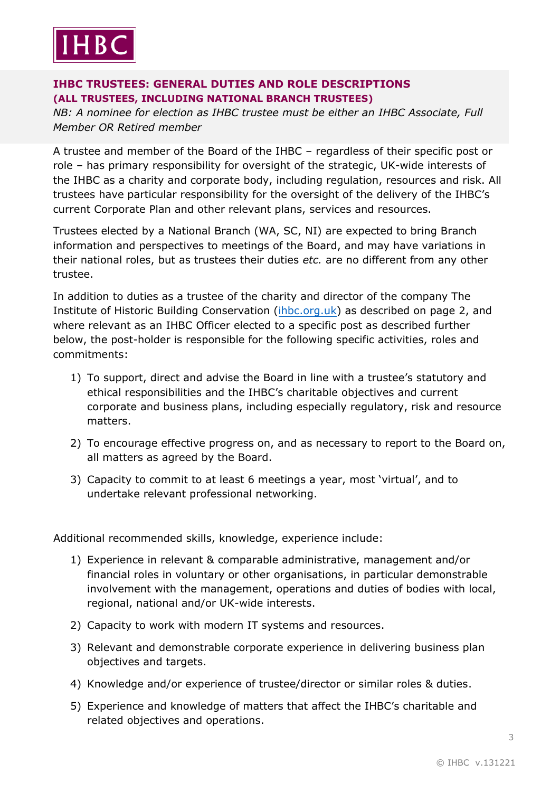

# **IHBC TRUSTEES: GENERAL DUTIES AND ROLE DESCRIPTIONS (ALL TRUSTEES, INCLUDING NATIONAL BRANCH TRUSTEES)**

*NB: A nominee for election as IHBC trustee must be either an IHBC Associate, Full Member OR Retired member*

A trustee and member of the Board of the IHBC – regardless of their specific post or role – has primary responsibility for oversight of the strategic, UK-wide interests of the IHBC as a charity and corporate body, including regulation, resources and risk. All trustees have particular responsibility for the oversight of the delivery of the IHBC's current Corporate Plan and other relevant plans, services and resources.

Trustees elected by a National Branch (WA, SC, NI) are expected to bring Branch information and perspectives to meetings of the Board, and may have variations in their national roles, but as trustees their duties *etc.* are no different from any other trustee.

In addition to duties as a trustee of the charity and director of the company The Institute of Historic Building Conservation [\(ihbc.org.uk\)](https://www.ihbc.org.uk/) as described on page 2, and where relevant as an IHBC Officer elected to a specific post as described further below, the post-holder is responsible for the following specific activities, roles and commitments:

- 1) To support, direct and advise the Board in line with a trustee's statutory and ethical responsibilities and the IHBC's charitable objectives and current corporate and business plans, including especially regulatory, risk and resource matters.
- 2) To encourage effective progress on, and as necessary to report to the Board on, all matters as agreed by the Board.
- 3) Capacity to commit to at least 6 meetings a year, most 'virtual', and to undertake relevant professional networking.

Additional recommended skills, knowledge, experience include:

- 1) Experience in relevant & comparable administrative, management and/or financial roles in voluntary or other organisations, in particular demonstrable involvement with the management, operations and duties of bodies with local, regional, national and/or UK-wide interests.
- 2) Capacity to work with modern IT systems and resources.
- 3) Relevant and demonstrable corporate experience in delivering business plan objectives and targets.
- 4) Knowledge and/or experience of trustee/director or similar roles & duties.
- 5) Experience and knowledge of matters that affect the IHBC's charitable and related objectives and operations.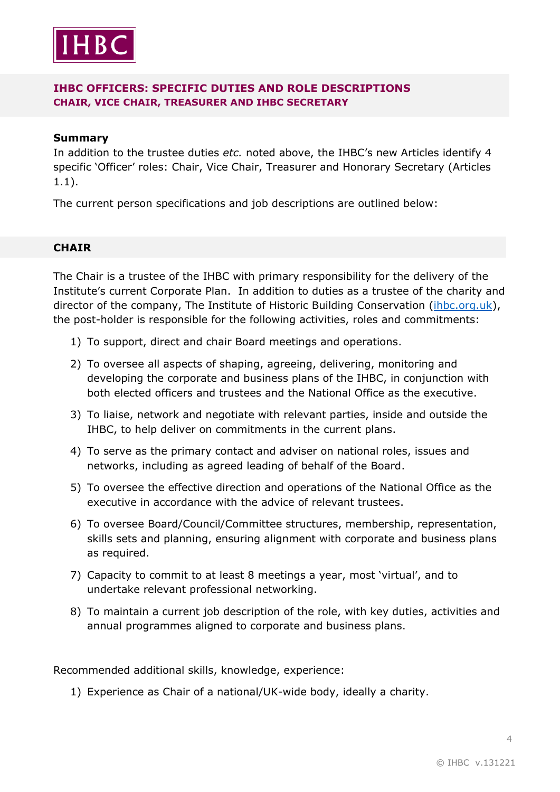

# **IHBC OFFICERS: SPECIFIC DUTIES AND ROLE DESCRIPTIONS CHAIR, VICE CHAIR, TREASURER AND IHBC SECRETARY**

#### **Summary**

In addition to the trustee duties *etc.* noted above, the IHBC's new Articles identify 4 specific 'Officer' roles: Chair, Vice Chair, Treasurer and Honorary Secretary (Articles 1.1).

The current person specifications and job descriptions are outlined below:

#### **CHAIR**

The Chair is a trustee of the IHBC with primary responsibility for the delivery of the Institute's current Corporate Plan. In addition to duties as a trustee of the charity and director of the company, The Institute of Historic Building Conservation [\(ihbc.org.uk\)](https://ihbc.org.uk/), the post-holder is responsible for the following activities, roles and commitments:

- 1) To support, direct and chair Board meetings and operations.
- 2) To oversee all aspects of shaping, agreeing, delivering, monitoring and developing the corporate and business plans of the IHBC, in conjunction with both elected officers and trustees and the National Office as the executive.
- 3) To liaise, network and negotiate with relevant parties, inside and outside the IHBC, to help deliver on commitments in the current plans.
- 4) To serve as the primary contact and adviser on national roles, issues and networks, including as agreed leading of behalf of the Board.
- 5) To oversee the effective direction and operations of the National Office as the executive in accordance with the advice of relevant trustees.
- 6) To oversee Board/Council/Committee structures, membership, representation, skills sets and planning, ensuring alignment with corporate and business plans as required.
- 7) Capacity to commit to at least 8 meetings a year, most 'virtual', and to undertake relevant professional networking.
- 8) To maintain a current job description of the role, with key duties, activities and annual programmes aligned to corporate and business plans.

Recommended additional skills, knowledge, experience:

1) Experience as Chair of a national/UK-wide body, ideally a charity.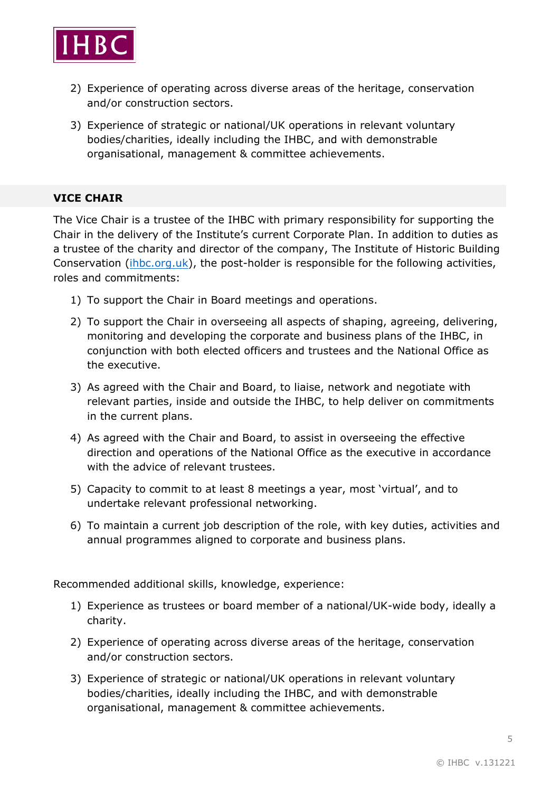

- 2) Experience of operating across diverse areas of the heritage, conservation and/or construction sectors.
- 3) Experience of strategic or national/UK operations in relevant voluntary bodies/charities, ideally including the IHBC, and with demonstrable organisational, management & committee achievements.

# **VICE CHAIR**

The Vice Chair is a trustee of the IHBC with primary responsibility for supporting the Chair in the delivery of the Institute's current Corporate Plan. In addition to duties as a trustee of the charity and director of the company, The Institute of Historic Building Conservation [\(ihbc.org.uk\)](https://www.ihbc.org.uk/), the post-holder is responsible for the following activities, roles and commitments:

- 1) To support the Chair in Board meetings and operations.
- 2) To support the Chair in overseeing all aspects of shaping, agreeing, delivering, monitoring and developing the corporate and business plans of the IHBC, in conjunction with both elected officers and trustees and the National Office as the executive.
- 3) As agreed with the Chair and Board, to liaise, network and negotiate with relevant parties, inside and outside the IHBC, to help deliver on commitments in the current plans.
- 4) As agreed with the Chair and Board, to assist in overseeing the effective direction and operations of the National Office as the executive in accordance with the advice of relevant trustees.
- 5) Capacity to commit to at least 8 meetings a year, most 'virtual', and to undertake relevant professional networking.
- 6) To maintain a current job description of the role, with key duties, activities and annual programmes aligned to corporate and business plans.

Recommended additional skills, knowledge, experience:

- 1) Experience as trustees or board member of a national/UK-wide body, ideally a charity.
- 2) Experience of operating across diverse areas of the heritage, conservation and/or construction sectors.
- 3) Experience of strategic or national/UK operations in relevant voluntary bodies/charities, ideally including the IHBC, and with demonstrable organisational, management & committee achievements.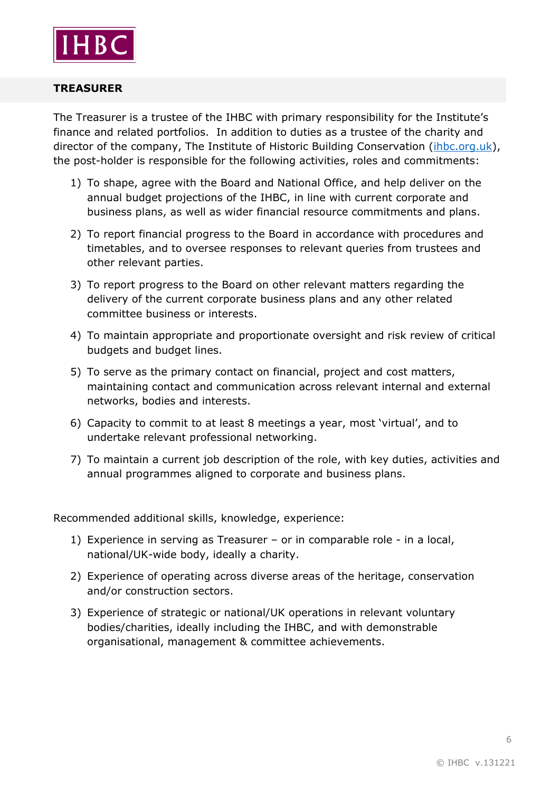

## **TREASURER**

The Treasurer is a trustee of the IHBC with primary responsibility for the Institute's finance and related portfolios. In addition to duties as a trustee of the charity and director of the company, The Institute of Historic Building Conservation [\(ihbc.org.uk\)](https://www.ihbc.org.uk/), the post-holder is responsible for the following activities, roles and commitments:

- 1) To shape, agree with the Board and National Office, and help deliver on the annual budget projections of the IHBC, in line with current corporate and business plans, as well as wider financial resource commitments and plans.
- 2) To report financial progress to the Board in accordance with procedures and timetables, and to oversee responses to relevant queries from trustees and other relevant parties.
- 3) To report progress to the Board on other relevant matters regarding the delivery of the current corporate business plans and any other related committee business or interests.
- 4) To maintain appropriate and proportionate oversight and risk review of critical budgets and budget lines.
- 5) To serve as the primary contact on financial, project and cost matters, maintaining contact and communication across relevant internal and external networks, bodies and interests.
- 6) Capacity to commit to at least 8 meetings a year, most 'virtual', and to undertake relevant professional networking.
- 7) To maintain a current job description of the role, with key duties, activities and annual programmes aligned to corporate and business plans.

Recommended additional skills, knowledge, experience:

- 1) Experience in serving as Treasurer or in comparable role in a local, national/UK-wide body, ideally a charity.
- 2) Experience of operating across diverse areas of the heritage, conservation and/or construction sectors.
- 3) Experience of strategic or national/UK operations in relevant voluntary bodies/charities, ideally including the IHBC, and with demonstrable organisational, management & committee achievements.